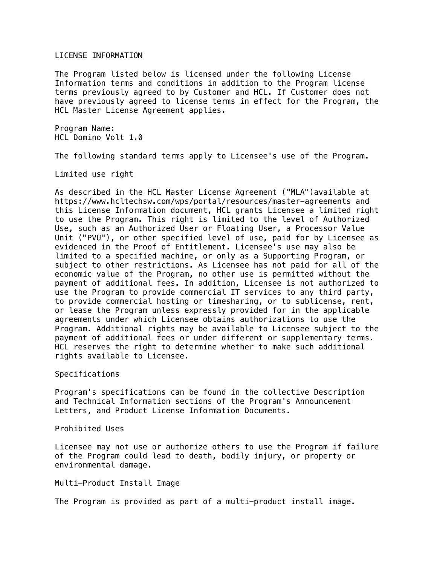## LICENSE INFORMATION

The Program listed below is licensed under the following License Information terms and conditions in addition to the Program license terms previously agreed to by Customer and HCL. If Customer does not have previously agreed to license terms in effect for the Program, the HCL Master License Agreement applies.

Program Name: HCL Domino Volt 1.0

The following standard terms apply to Licensee's use of the Program.

Limited use right

As described in the HCL Master License Agreement ("MLA")available at https://www.hcltechsw.com/wps/portal/resources/master-agreements and this License Information document, HCL grants Licensee a limited right to use the Program. This right is limited to the level of Authorized Use, such as an Authorized User or Floating User, a Processor Value Unit ("PVU"), or other specified level of use, paid for by Licensee as evidenced in the Proof of Entitlement. Licensee's use may also be limited to a specified machine, or only as a Supporting Program, or subject to other restrictions. As Licensee has not paid for all of the economic value of the Program, no other use is permitted without the payment of additional fees. In addition, Licensee is not authorized to use the Program to provide commercial IT services to any third party, to provide commercial hosting or timesharing, or to sublicense, rent, or lease the Program unless expressly provided for in the applicable agreements under which Licensee obtains authorizations to use the Program. Additional rights may be available to Licensee subject to the payment of additional fees or under different or supplementary terms. HCL reserves the right to determine whether to make such additional rights available to Licensee.

Specifications

Program's specifications can be found in the collective Description and Technical Information sections of the Program's Announcement Letters, and Product License Information Documents.

Prohibited Uses

Licensee may not use or authorize others to use the Program if failure of the Program could lead to death, bodily injury, or property or environmental damage.

Multi-Product Install Image

The Program is provided as part of a multi-product install image.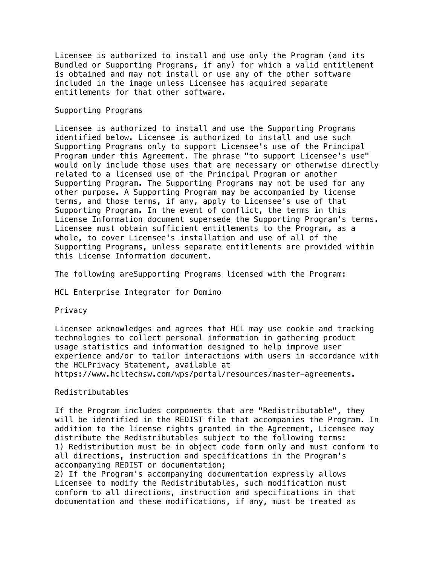Licensee is authorized to install and use only the Program (and its Bundled or Supporting Programs, if any) for which a valid entitlement is obtained and may not install or use any of the other software included in the image unless Licensee has acquired separate entitlements for that other software.

## Supporting Programs

Licensee is authorized to install and use the Supporting Programs identified below. Licensee is authorized to install and use such Supporting Programs only to support Licensee's use of the Principal Program under this Agreement. The phrase "to support Licensee's use" would only include those uses that are necessary or otherwise directly related to a licensed use of the Principal Program or another Supporting Program. The Supporting Programs may not be used for any other purpose. A Supporting Program may be accompanied by license terms, and those terms, if any, apply to Licensee's use of that Supporting Program. In the event of conflict, the terms in this License Information document supersede the Supporting Program's terms. Licensee must obtain sufficient entitlements to the Program, as a whole, to cover Licensee's installation and use of all of the Supporting Programs, unless separate entitlements are provided within this License Information document.

The following areSupporting Programs licensed with the Program:

HCL Enterprise Integrator for Domino

Privacy

Licensee acknowledges and agrees that HCL may use cookie and tracking technologies to collect personal information in gathering product usage statistics and information designed to help improve user experience and/or to tailor interactions with users in accordance with the HCLPrivacy Statement, available at

https://www.hcltechsw.com/wps/portal/resources/master-agreements.

## Redistributables

If the Program includes components that are "Redistributable", they will be identified in the REDIST file that accompanies the Program. In addition to the license rights granted in the Agreement, Licensee may distribute the Redistributables subject to the following terms: 1) Redistribution must be in object code form only and must conform to all directions, instruction and specifications in the Program's accompanying REDIST or documentation;

2) If the Program's accompanying documentation expressly allows Licensee to modify the Redistributables, such modification must conform to all directions, instruction and specifications in that documentation and these modifications, if any, must be treated as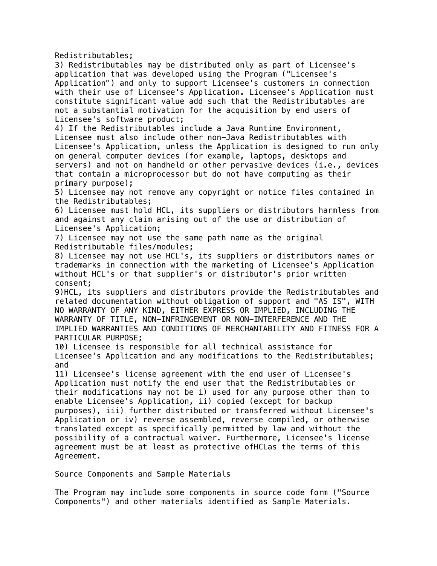Redistributables;

3) Redistributables may be distributed only as part of Licensee's application that was developed using the Program ("Licensee's Application") and only to support Licensee's customers in connection with their use of Licensee's Application. Licensee's Application must constitute significant value add such that the Redistributables are not a substantial motivation for the acquisition by end users of Licensee's software product;

4) If the Redistributables include a Java Runtime Environment, Licensee must also include other non-Java Redistributables with Licensee's Application, unless the Application is designed to run only on general computer devices (for example, laptops, desktops and servers) and not on handheld or other pervasive devices (i.e., devices that contain a microprocessor but do not have computing as their primary purpose);

5) Licensee may not remove any copyright or notice files contained in the Redistributables;

6) Licensee must hold HCL, its suppliers or distributors harmless from and against any claim arising out of the use or distribution of Licensee's Application;

7) Licensee may not use the same path name as the original Redistributable files/modules;

8) Licensee may not use HCL's, its suppliers or distributors names or trademarks in connection with the marketing of Licensee's Application without HCL's or that supplier's or distributor's prior written consent;

9)HCL, its suppliers and distributors provide the Redistributables and related documentation without obligation of support and "AS IS", WITH NO WARRANTY OF ANY KIND, EITHER EXPRESS OR IMPLIED, INCLUDING THE WARRANTY OF TITLE, NON-INFRINGEMENT OR NON-INTERFERENCE AND THE IMPLIED WARRANTIES AND CONDITIONS OF MERCHANTABILITY AND FITNESS FOR A PARTICULAR PURPOSE;

10) Licensee is responsible for all technical assistance for Licensee's Application and any modifications to the Redistributables; and

11) Licensee's license agreement with the end user of Licensee's Application must notify the end user that the Redistributables or their modifications may not be i) used for any purpose other than to enable Licensee's Application, ii) copied (except for backup purposes), iii) further distributed or transferred without Licensee's Application or iv) reverse assembled, reverse compiled, or otherwise translated except as specifically permitted by law and without the possibility of a contractual waiver. Furthermore, Licensee's license agreement must be at least as protective ofHCLas the terms of this Agreement.

Source Components and Sample Materials

The Program may include some components in source code form ("Source Components") and other materials identified as Sample Materials.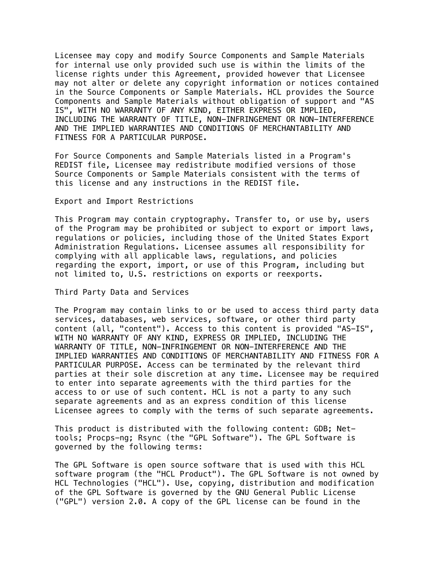Licensee may copy and modify Source Components and Sample Materials for internal use only provided such use is within the limits of the license rights under this Agreement, provided however that Licensee may not alter or delete any copyright information or notices contained in the Source Components or Sample Materials. HCL provides the Source Components and Sample Materials without obligation of support and "AS IS", WITH NO WARRANTY OF ANY KIND, EITHER EXPRESS OR IMPLIED, INCLUDING THE WARRANTY OF TITLE, NON-INFRINGEMENT OR NON-INTERFERENCE AND THE IMPLIED WARRANTIES AND CONDITIONS OF MERCHANTABILITY AND FITNESS FOR A PARTICULAR PURPOSE.

For Source Components and Sample Materials listed in a Program's REDIST file, Licensee may redistribute modified versions of those Source Components or Sample Materials consistent with the terms of this license and any instructions in the REDIST file.

Export and Import Restrictions

This Program may contain cryptography. Transfer to, or use by, users of the Program may be prohibited or subject to export or import laws, regulations or policies, including those of the United States Export Administration Regulations. Licensee assumes all responsibility for complying with all applicable laws, regulations, and policies regarding the export, import, or use of this Program, including but not limited to, U.S. restrictions on exports or reexports.

Third Party Data and Services

The Program may contain links to or be used to access third party data services, databases, web services, software, or other third party content (all, "content"). Access to this content is provided "AS-IS", WITH NO WARRANTY OF ANY KIND, EXPRESS OR IMPLIED, INCLUDING THE WARRANTY OF TITLE, NON-INFRINGEMENT OR NON-INTERFERENCE AND THE IMPLIED WARRANTIES AND CONDITIONS OF MERCHANTABILITY AND FITNESS FOR A PARTICULAR PURPOSE. Access can be terminated by the relevant third parties at their sole discretion at any time. Licensee may be required to enter into separate agreements with the third parties for the access to or use of such content. HCL is not a party to any such separate agreements and as an express condition of this license Licensee agrees to comply with the terms of such separate agreements.

This product is distributed with the following content: GDB; Nettools; Procps-ng; Rsync (the "GPL Software"). The GPL Software is governed by the following terms:

The GPL Software is open source software that is used with this HCL software program (the "HCL Product"). The GPL Software is not owned by HCL Technologies ("HCL"). Use, copying, distribution and modification of the GPL Software is governed by the GNU General Public License ("GPL") version 2.0. A copy of the GPL license can be found in the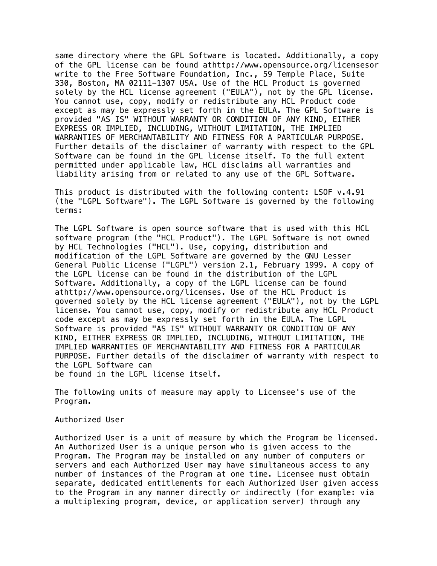same directory where the GPL Software is located. Additionally, a copy of the GPL license can be found athttp://www.opensource.org/licensesor write to the Free Software Foundation, Inc., 59 Temple Place, Suite 330, Boston, MA 02111-1307 USA. Use of the HCL Product is governed solely by the HCL license agreement ("EULA"), not by the GPL license. You cannot use, copy, modify or redistribute any HCL Product code except as may be expressly set forth in the EULA. The GPL Software is provided "AS IS" WITHOUT WARRANTY OR CONDITION OF ANY KIND, EITHER EXPRESS OR IMPLIED, INCLUDING, WITHOUT LIMITATION, THE IMPLIED WARRANTIES OF MERCHANTABILITY AND FITNESS FOR A PARTICULAR PURPOSE. Further details of the disclaimer of warranty with respect to the GPL Software can be found in the GPL license itself. To the full extent permitted under applicable law, HCL disclaims all warranties and liability arising from or related to any use of the GPL Software.

This product is distributed with the following content: LSOF v.4.91 (the "LGPL Software"). The LGPL Software is governed by the following terms:

The LGPL Software is open source software that is used with this HCL software program (the "HCL Product"). The LGPL Software is not owned by HCL Technologies ("HCL"). Use, copying, distribution and modification of the LGPL Software are governed by the GNU Lesser General Public License ("LGPL") version 2.1, February 1999. A copy of the LGPL license can be found in the distribution of the LGPL Software. Additionally, a copy of the LGPL license can be found athttp://www.opensource.org/licenses. Use of the HCL Product is governed solely by the HCL license agreement ("EULA"), not by the LGPL license. You cannot use, copy, modify or redistribute any HCL Product code except as may be expressly set forth in the EULA. The LGPL Software is provided "AS IS" WITHOUT WARRANTY OR CONDITION OF ANY KIND, EITHER EXPRESS OR IMPLIED, INCLUDING, WITHOUT LIMITATION, THE IMPLIED WARRANTIES OF MERCHANTABILITY AND FITNESS FOR A PARTICULAR PURPOSE. Further details of the disclaimer of warranty with respect to the LGPL Software can be found in the LGPL license itself.

The following units of measure may apply to Licensee's use of the Program.

Authorized User

Authorized User is a unit of measure by which the Program be licensed. An Authorized User is a unique person who is given access to the Program. The Program may be installed on any number of computers or servers and each Authorized User may have simultaneous access to any number of instances of the Program at one time. Licensee must obtain separate, dedicated entitlements for each Authorized User given access to the Program in any manner directly or indirectly (for example: via a multiplexing program, device, or application server) through any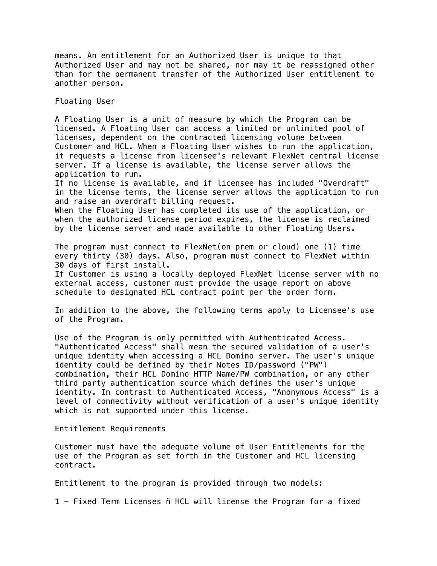means. An entitlement for an Authorized User is unique to that Authorized User and may not be shared, nor may it be reassigned other than for the permanent transfer of the Authorized User entitlement to another person.

Floating User

A Floating User is a unit of measure by which the Program can be licensed. A Floating User can access a limited or unlimited pool of licenses, dependent on the contracted licensing volume between Customer and HCL. When a Floating User wishes to run the application, it requests a license from licensee's relevant FlexNet central license server. If a license is available, the license server allows the application to run.

If no license is available, and if licensee has included "Overdraft" in the license terms, the license server allows the application to run and raise an overdraft billing request.

When the Floating User has completed its use of the application, or when the authorized license period expires, the license is reclaimed by the license server and made available to other Floating Users.

The program must connect to FlexNet(on prem or cloud) one (1) time every thirty (30) days. Also, program must connect to FlexNet within 30 days of first install.

If Customer is using a locally deployed FlexNet license server with no external access, customer must provide the usage report on above schedule to designated HCL contract point per the order form.

In addition to the above, the following terms apply to Licensee's use of the Program.

Use of the Program is only permitted with Authenticated Access. "Authenticated Access" shall mean the secured validation of a user's unique identity when accessing a HCL Domino server. The user's unique identity could be defined by their Notes ID/password ("PW") combination, their HCL Domino HTTP Name/PW combination, or any other third party authentication source which defines the user's unique identity. In contrast to Authenticated Access, "Anonymous Access" is a level of connectivity without verification of a user's unique identity which is not supported under this license.

Entitlement Requirements

Customer must have the adequate volume of User Entitlements for the use of the Program as set forth in the Customer and HCL licensing contract.

Entitlement to the program is provided through two models:

1 - Fixed Term Licenses ñ HCL will license the Program for a fixed